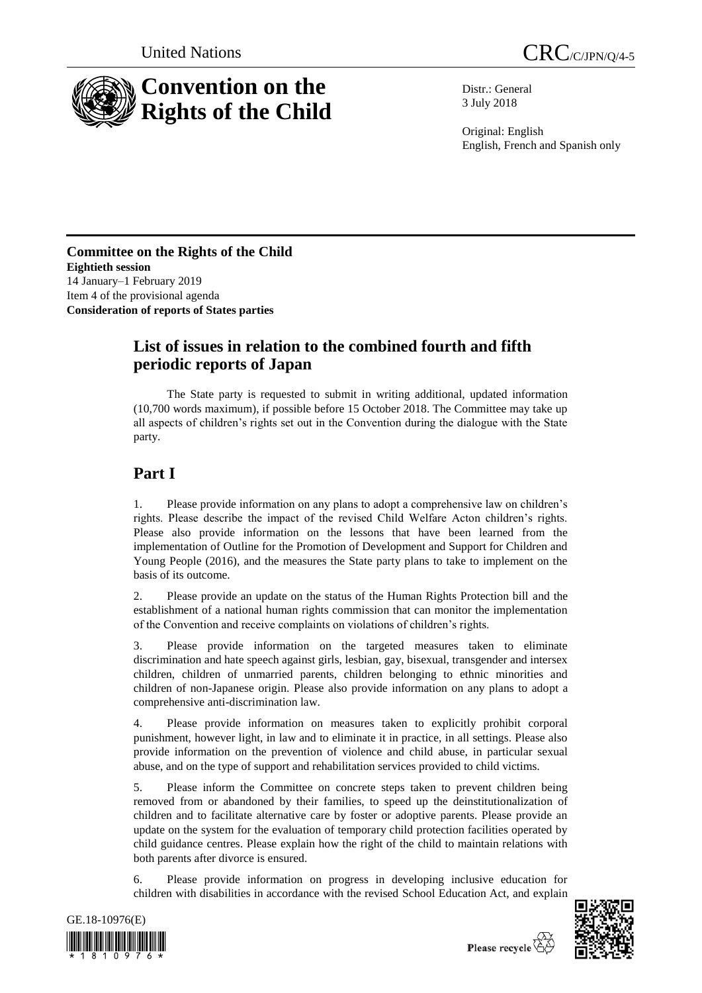



Distr.: General 3 July 2018

Original: English English, French and Spanish only

### **Committee on the Rights of the Child Eightieth session** 14 January–1 February 2019 Item 4 of the provisional agenda **Consideration of reports of States parties**

## **List of issues in relation to the combined fourth and fifth periodic reports of Japan**

The State party is requested to submit in writing additional, updated information (10,700 words maximum), if possible before 15 October 2018. The Committee may take up all aspects of children's rights set out in the Convention during the dialogue with the State party.

# **Part I**

1. Please provide information on any plans to adopt a comprehensive law on children's rights. Please describe the impact of the revised Child Welfare Acton children's rights. Please also provide information on the lessons that have been learned from the implementation of Outline for the Promotion of Development and Support for Children and Young People (2016), and the measures the State party plans to take to implement on the basis of its outcome.

2. Please provide an update on the status of the Human Rights Protection bill and the establishment of a national human rights commission that can monitor the implementation of the Convention and receive complaints on violations of children's rights.

3. Please provide information on the targeted measures taken to eliminate discrimination and hate speech against girls, lesbian, gay, bisexual, transgender and intersex children, children of unmarried parents, children belonging to ethnic minorities and children of non-Japanese origin. Please also provide information on any plans to adopt a comprehensive anti-discrimination law.

4. Please provide information on measures taken to explicitly prohibit corporal punishment, however light, in law and to eliminate it in practice, in all settings. Please also provide information on the prevention of violence and child abuse, in particular sexual abuse, and on the type of support and rehabilitation services provided to child victims.

5. Please inform the Committee on concrete steps taken to prevent children being removed from or abandoned by their families, to speed up the deinstitutionalization of children and to facilitate alternative care by foster or adoptive parents. Please provide an update on the system for the evaluation of temporary child protection facilities operated by child guidance centres. Please explain how the right of the child to maintain relations with both parents after divorce is ensured.

6. Please provide information on progress in developing inclusive education for children with disabilities in accordance with the revised School Education Act, and explain



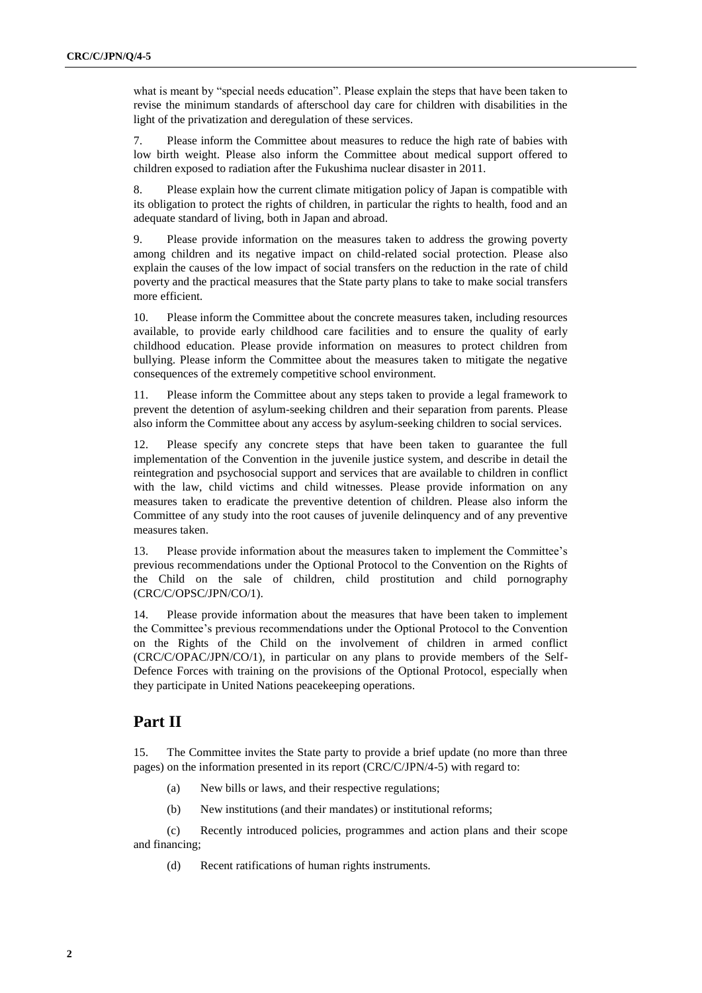what is meant by "special needs education". Please explain the steps that have been taken to revise the minimum standards of afterschool day care for children with disabilities in the light of the privatization and deregulation of these services.

7. Please inform the Committee about measures to reduce the high rate of babies with low birth weight. Please also inform the Committee about medical support offered to children exposed to radiation after the Fukushima nuclear disaster in 2011.

8. Please explain how the current climate mitigation policy of Japan is compatible with its obligation to protect the rights of children, in particular the rights to health, food and an adequate standard of living, both in Japan and abroad.

9. Please provide information on the measures taken to address the growing poverty among children and its negative impact on child-related social protection. Please also explain the causes of the low impact of social transfers on the reduction in the rate of child poverty and the practical measures that the State party plans to take to make social transfers more efficient.

10. Please inform the Committee about the concrete measures taken, including resources available, to provide early childhood care facilities and to ensure the quality of early childhood education. Please provide information on measures to protect children from bullying. Please inform the Committee about the measures taken to mitigate the negative consequences of the extremely competitive school environment.

11. Please inform the Committee about any steps taken to provide a legal framework to prevent the detention of asylum-seeking children and their separation from parents. Please also inform the Committee about any access by asylum-seeking children to social services.

12. Please specify any concrete steps that have been taken to guarantee the full implementation of the Convention in the juvenile justice system, and describe in detail the reintegration and psychosocial support and services that are available to children in conflict with the law, child victims and child witnesses. Please provide information on any measures taken to eradicate the preventive detention of children. Please also inform the Committee of any study into the root causes of juvenile delinquency and of any preventive measures taken.

13. Please provide information about the measures taken to implement the Committee's previous recommendations under the Optional Protocol to the Convention on the Rights of the Child on the sale of children, child prostitution and child pornography (CRC/C/OPSC/JPN/CO/1).

14. Please provide information about the measures that have been taken to implement the Committee's previous recommendations under the Optional Protocol to the Convention on the Rights of the Child on the involvement of children in armed conflict (CRC/C/OPAC/JPN/CO/1), in particular on any plans to provide members of the Self-Defence Forces with training on the provisions of the Optional Protocol, especially when they participate in United Nations peacekeeping operations.

## **Part II**

15. The Committee invites the State party to provide a brief update (no more than three pages) on the information presented in its report (CRC/C/JPN/4-5) with regard to:

- (a) New bills or laws, and their respective regulations;
- (b) New institutions (and their mandates) or institutional reforms;

(c) Recently introduced policies, programmes and action plans and their scope and financing;

(d) Recent ratifications of human rights instruments.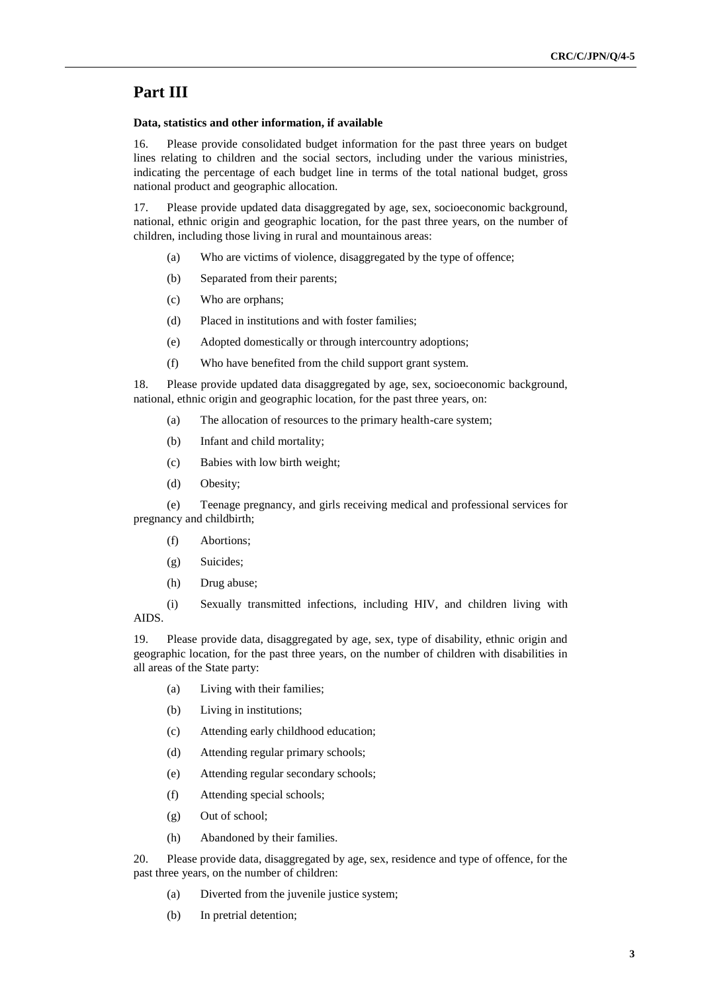### **Part III**

#### **Data, statistics and other information, if available**

16. Please provide consolidated budget information for the past three years on budget lines relating to children and the social sectors, including under the various ministries, indicating the percentage of each budget line in terms of the total national budget, gross national product and geographic allocation.

17. Please provide updated data disaggregated by age, sex, socioeconomic background, national, ethnic origin and geographic location, for the past three years, on the number of children, including those living in rural and mountainous areas:

- (a) Who are victims of violence, disaggregated by the type of offence;
- (b) Separated from their parents;
- (c) Who are orphans;
- (d) Placed in institutions and with foster families;
- (e) Adopted domestically or through intercountry adoptions;
- (f) Who have benefited from the child support grant system.

18. Please provide updated data disaggregated by age, sex, socioeconomic background, national, ethnic origin and geographic location, for the past three years, on:

- (a) The allocation of resources to the primary health-care system;
- (b) Infant and child mortality;
- (c) Babies with low birth weight;
- (d) Obesity;

(e) Teenage pregnancy, and girls receiving medical and professional services for pregnancy and childbirth;

- (f) Abortions;
- (g) Suicides;
- (h) Drug abuse;

(i) Sexually transmitted infections, including HIV, and children living with AIDS.

19. Please provide data, disaggregated by age, sex, type of disability, ethnic origin and geographic location, for the past three years, on the number of children with disabilities in all areas of the State party:

- (a) Living with their families;
- (b) Living in institutions;
- (c) Attending early childhood education;
- (d) Attending regular primary schools;
- (e) Attending regular secondary schools;
- (f) Attending special schools;
- (g) Out of school;
- (h) Abandoned by their families.

20. Please provide data, disaggregated by age, sex, residence and type of offence, for the past three years, on the number of children:

- (a) Diverted from the juvenile justice system;
- (b) In pretrial detention;